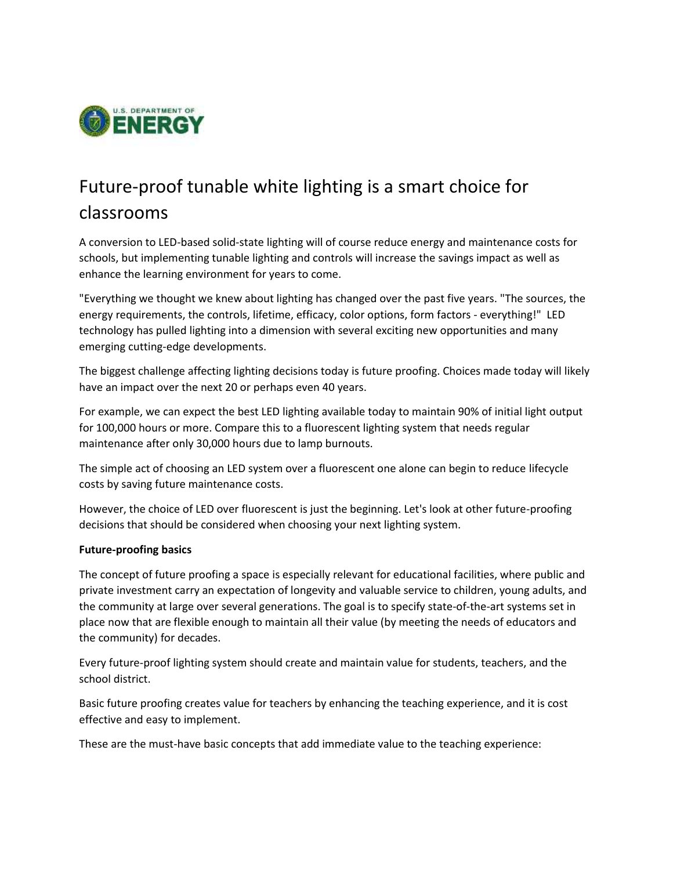

## Future-proof tunable white lighting is a smart choice for classrooms

A conversion to LED-based solid-state lighting will of course reduce energy and maintenance costs for schools, but implementing tunable lighting and controls will increase the savings impact as well as enhance the learning environment for years to come.

"Everything we thought we knew about lighting has changed over the past five years. "The sources, the energy requirements, the controls, lifetime, efficacy, color options, form factors - everything!" LED technology has pulled lighting into a dimension with several exciting new opportunities and many emerging cutting-edge developments.

The biggest challenge affecting lighting decisions today is future proofing. Choices made today will likely have an impact over the next 20 or perhaps even 40 years.

For example, we can expect the best LED lighting available today to maintain 90% of initial light output for 100,000 hours or more. Compare this to a fluorescent lighting system that needs regular maintenance after only 30,000 hours due to lamp burnouts.

The simple act of choosing an LED system over a fluorescent one alone can begin to reduce lifecycle costs by saving future maintenance costs.

However, the choice of LED over fluorescent is just the beginning. Let's look at other future-proofing decisions that should be considered when choosing your next lighting system.

## **Future-proofing basics**

The concept of future proofing a space is especially relevant for educational facilities, where public and private investment carry an expectation of longevity and valuable service to children, young adults, and the community at large over several generations. The goal is to specify state-of-the-art systems set in place now that are flexible enough to maintain all their value (by meeting the needs of educators and the community) for decades.

Every future-proof lighting system should create and maintain value for students, teachers, and the school district.

Basic future proofing creates value for teachers by enhancing the teaching experience, and it is cost effective and easy to implement.

These are the must-have basic concepts that add immediate value to the teaching experience: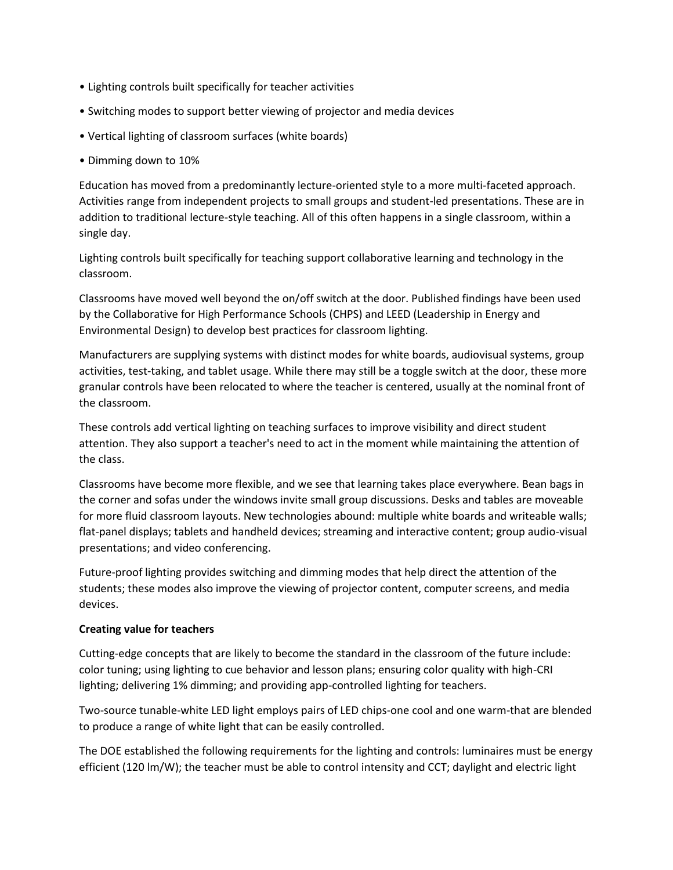- Lighting controls built specifically for teacher activities
- Switching modes to support better viewing of projector and media devices
- Vertical lighting of classroom surfaces (white boards)
- Dimming down to 10%

Education has moved from a predominantly lecture-oriented style to a more multi-faceted approach. Activities range from independent projects to small groups and student-led presentations. These are in addition to traditional lecture-style teaching. All of this often happens in a single classroom, within a single day.

Lighting controls built specifically for teaching support collaborative learning and technology in the classroom.

Classrooms have moved well beyond the on/off switch at the door. Published findings have been used by the Collaborative for High Performance Schools (CHPS) and LEED (Leadership in Energy and Environmental Design) to develop best practices for classroom lighting.

Manufacturers are supplying systems with distinct modes for white boards, audiovisual systems, group activities, test-taking, and tablet usage. While there may still be a toggle switch at the door, these more granular controls have been relocated to where the teacher is centered, usually at the nominal front of the classroom.

These controls add vertical lighting on teaching surfaces to improve visibility and direct student attention. They also support a teacher's need to act in the moment while maintaining the attention of the class.

Classrooms have become more flexible, and we see that learning takes place everywhere. Bean bags in the corner and sofas under the windows invite small group discussions. Desks and tables are moveable for more fluid classroom layouts. New technologies abound: multiple white boards and writeable walls; flat-panel displays; tablets and handheld devices; streaming and interactive content; group audio-visual presentations; and video conferencing.

Future-proof lighting provides switching and dimming modes that help direct the attention of the students; these modes also improve the viewing of projector content, computer screens, and media devices.

## **Creating value for teachers**

Cutting-edge concepts that are likely to become the standard in the classroom of the future include: color tuning; using lighting to cue behavior and lesson plans; ensuring color quality with high-CRI lighting; delivering 1% dimming; and providing app-controlled lighting for teachers.

Two-source tunable-white LED light employs pairs of LED chips-one cool and one warm-that are blended to produce a range of white light that can be easily controlled.

The DOE established the following requirements for the lighting and controls: luminaires must be energy efficient (120 lm/W); the teacher must be able to control intensity and CCT; daylight and electric light